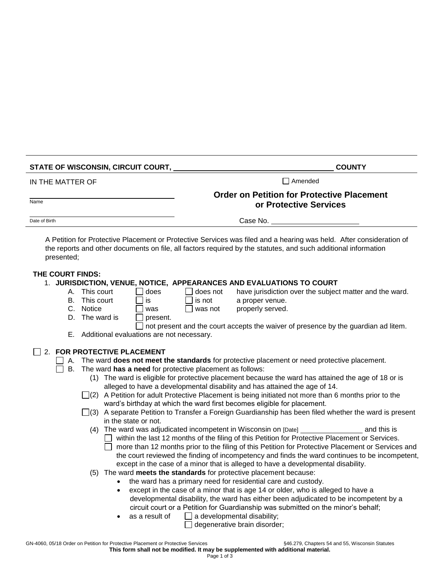| STATE OF WISCONSIN, CIRCUIT COURT,                                                                                                                                                                                   |                                                                                                                                                                                                                                                                                                                                                                                                                                                                                                                                                                                                                                                                                                                                                                                                                                                                                                                                                                                                                                                                                                                                                                                                                                                                                                                                                                                                                       | <b>COUNTY</b>                                                               |  |
|----------------------------------------------------------------------------------------------------------------------------------------------------------------------------------------------------------------------|-----------------------------------------------------------------------------------------------------------------------------------------------------------------------------------------------------------------------------------------------------------------------------------------------------------------------------------------------------------------------------------------------------------------------------------------------------------------------------------------------------------------------------------------------------------------------------------------------------------------------------------------------------------------------------------------------------------------------------------------------------------------------------------------------------------------------------------------------------------------------------------------------------------------------------------------------------------------------------------------------------------------------------------------------------------------------------------------------------------------------------------------------------------------------------------------------------------------------------------------------------------------------------------------------------------------------------------------------------------------------------------------------------------------------|-----------------------------------------------------------------------------|--|
| IN THE MATTER OF                                                                                                                                                                                                     |                                                                                                                                                                                                                                                                                                                                                                                                                                                                                                                                                                                                                                                                                                                                                                                                                                                                                                                                                                                                                                                                                                                                                                                                                                                                                                                                                                                                                       | $\Box$ Amended                                                              |  |
| Name                                                                                                                                                                                                                 |                                                                                                                                                                                                                                                                                                                                                                                                                                                                                                                                                                                                                                                                                                                                                                                                                                                                                                                                                                                                                                                                                                                                                                                                                                                                                                                                                                                                                       | <b>Order on Petition for Protective Placement</b><br>or Protective Services |  |
| Date of Birth                                                                                                                                                                                                        | Case No.                                                                                                                                                                                                                                                                                                                                                                                                                                                                                                                                                                                                                                                                                                                                                                                                                                                                                                                                                                                                                                                                                                                                                                                                                                                                                                                                                                                                              |                                                                             |  |
| presented;                                                                                                                                                                                                           | A Petition for Protective Placement or Protective Services was filed and a hearing was held. After consideration of<br>the reports and other documents on file, all factors required by the statutes, and such additional information                                                                                                                                                                                                                                                                                                                                                                                                                                                                                                                                                                                                                                                                                                                                                                                                                                                                                                                                                                                                                                                                                                                                                                                 |                                                                             |  |
| THE COURT FINDS:<br>This court<br>А.<br>$\mathsf{L}$<br>This court<br>В.<br>C. Notice<br>D. The ward is<br>E. Additional evaluations are not necessary.<br>2. FOR PROTECTIVE PLACEMENT<br>В.<br>in the state or not. | 1. JURISDICTION, VENUE, NOTICE, APPEARANCES AND EVALUATIONS TO COURT<br>does<br>does not<br>is not<br>a proper venue.<br>is<br>properly served.<br>was not<br>was<br>present.<br>not present and the court accepts the waiver of presence by the guardian ad litem.<br>A. The ward does not meet the standards for protective placement or need protective placement.<br>The ward has a need for protective placement as follows:<br>(1) The ward is eligible for protective placement because the ward has attained the age of 18 or is<br>alleged to have a developmental disability and has attained the age of 14.<br>$\Box(2)$ A Petition for adult Protective Placement is being initiated not more than 6 months prior to the<br>ward's birthday at which the ward first becomes eligible for placement.<br>$\Box$ (3) A separate Petition to Transfer a Foreign Guardianship has been filed whether the ward is present<br>(4) The ward was adjudicated incompetent in Wisconsin on [Date] ________________<br>□ within the last 12 months of the filing of this Petition for Protective Placement or Services.<br>□ more than 12 months prior to the filing of this Petition for Protective Placement or Services and<br>the court reviewed the finding of incompetency and finds the ward continues to be incompetent,<br>except in the case of a minor that is alleged to have a developmental disability. | have jurisdiction over the subject matter and the ward.<br>and this is      |  |
| ٠<br>$\bullet$                                                                                                                                                                                                       | (5) The ward meets the standards for protective placement because:<br>the ward has a primary need for residential care and custody.<br>except in the case of a minor that is age 14 or older, who is alleged to have a<br>developmental disability, the ward has either been adjudicated to be incompetent by a<br>circuit court or a Petition for Guardianship was submitted on the minor's behalf;<br>$\Box$ a developmental disability;<br>as a result of<br>degenerative brain disorder;                                                                                                                                                                                                                                                                                                                                                                                                                                                                                                                                                                                                                                                                                                                                                                                                                                                                                                                          |                                                                             |  |

GN-4060, 05/18 Order on Petition for Protective Placement or Protective Services **646.279**, Chapters 54 and 55, Wisconsin Statutes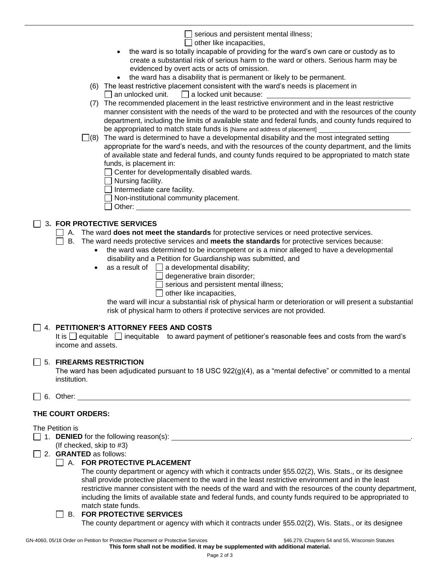$\Box$  serious and persistent mental illness;

- $\Box$  other like incapacities,
- the ward is so totally incapable of providing for the ward's own care or custody as to create a substantial risk of serious harm to the ward or others. Serious harm may be evidenced by overt acts or acts of omission.
- the ward has a disability that is permanent or likely to be permanent.
- (6) The least restrictive placement consistent with the ward's needs is placement in
	- $\Box$  an unlocked unit.  $\Box$  a locked unit because:
- (7) The recommended placement in the least restrictive environment and in the least restrictive manner consistent with the needs of the ward to be protected and with the resources of the county department, including the limits of available state and federal funds, and county funds required to be appropriated to match state funds is [Name and address of placement]
- $\Box$ (8) The ward is determined to have a developmental disability and the most integrated setting appropriate for the ward's needs, and with the resources of the county department, and the limits of available state and federal funds, and county funds required to be appropriated to match state funds, is placement in:

 $\Box$  Center for developmentally disabled wards.

 $\Box$  Nursing facility.

- $\Box$  Intermediate care facility.
- $\Box$  Non-institutional community placement.
- Other:

# 3**. FOR PROTECTIVE SERVICES**

- A. The ward **does not meet the standards** for protective services or need protective services.
- B. The ward needs protective services and **meets the standards** for protective services because:
	- the ward was determined to be incompetent or is a minor alleged to have a developmental disability and a Petition for Guardianship was submitted, and
		- as a result of  $\Box$  a developmental disability;
			- $\Box$  degenerative brain disorder;

 $\Box$  serious and persistent mental illness;

 $\Box$  other like incapacities,

the ward will incur a substantial risk of physical harm or deterioration or will present a substantial risk of physical harm to others if protective services are not provided.

# 4. **PETITIONER'S ATTORNEY FEES AND COSTS**

It is  $\Box$  equitable  $\Box$  inequitable to award payment of petitioner's reasonable fees and costs from the ward's income and assets.

# 5. **FIREARMS RESTRICTION**

The ward has been adjudicated pursuant to 18 USC 922(g)(4), as a "mental defective" or committed to a mental institution.

6. Other:

# **THE COURT ORDERS:**

## The Petition is

- 1. **DENIED** for the following reason(s):
	- (If checked, skip to #3)
- 2. **GRANTED** as follows:

## A. **FOR PROTECTIVE PLACEMENT**

The county department or agency with which it contracts under §55.02(2), Wis. Stats., or its designee shall provide protective placement to the ward in the least restrictive environment and in the least restrictive manner consistent with the needs of the ward and with the resources of the county department, including the limits of available state and federal funds, and county funds required to be appropriated to match state funds.

## B. **FOR PROTECTIVE SERVICES**

The county department or agency with which it contracts under §55.02(2), Wis. Stats., or its designee